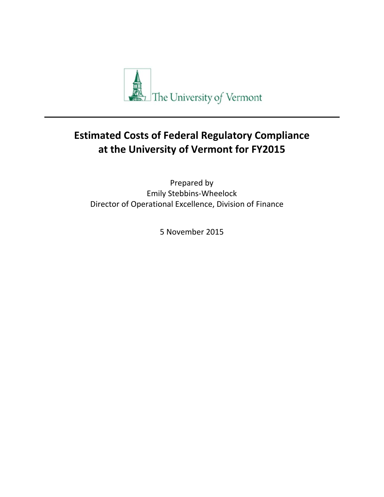

# **Estimated Costs of Federal Regulatory Compliance at the University of Vermont for FY2015**

Prepared by Emily Stebbins‐Wheelock Director of Operational Excellence, Division of Finance

5 November 2015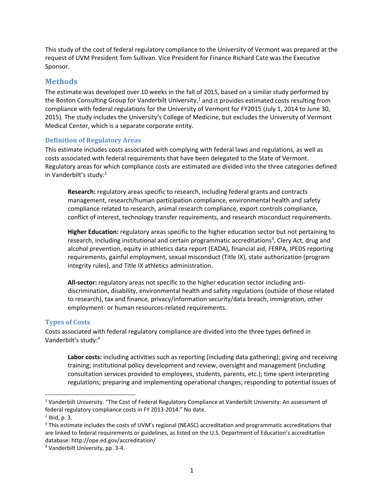This study of the cost of federal regulatory compliance to the University of Vermont was prepared at the request of UVM President Tom Sullivan. Vice President for Finance Richard Cate was the Executive Sponsor.

#### **Methods**

The estimate was developed over 10 weeks in the fall of 2015, based on a similar study performed by the Boston Consulting Group for Vanderbilt University, $1$  and it provides estimated costs resulting from compliance with federal regulations for the University of Vermont for FY2015 (July 1, 2014 to June 30, 2015). The study includes the University's College of Medicine, but excludes the University of Vermont Medical Center, which is a separate corporate entity.

#### **Definition of Regulatory Areas**

This estimate includes costs associated with complying with federal laws and regulations, as well as costs associated with federal requirements that have been delegated to the State of Vermont. Regulatory areas for which compliance costs are estimated are divided into the three categories defined in Vanderbilt's study:2

**Research:** regulatory areas specific to research, including federal grants and contracts management, research/human participation compliance, environmental health and safety compliance related to research, animal research compliance, export controls compliance, conflict of interest, technology transfer requirements, and research misconduct requirements.

**Higher Education:** regulatory areas specific to the higher education sector but not pertaining to research, including institutional and certain programmatic accreditations<sup>3</sup>, Clery Act, drug and alcohol prevention, equity in athletics data report (EADA), financial aid, FERPA, IPEDS reporting requirements, gainful employment, sexual misconduct (Title IX), state authorization (program integrity rules), and Title IX athletics administration.

**All‐sector:** regulatory areas not specific to the higher education sector including anti‐ discrimination, disability, environmental health and safety regulations (outside of those related to research), tax and finance, privacy/information security/data breach, immigration, other employment- or human resources-related requirements.

#### **Types of Costs**

Costs associated with federal regulatory compliance are divided into the three types defined in Vanderbilt's study:4

**Labor costs:** including activities such as reporting (including data gathering); giving and receiving training; institutional policy development and review, oversight and management (including consultation services provided to employees, students, parents, etc.); time spent interpreting regulations; preparing and implementing operational changes; responding to potential issues of

<sup>1</sup> Vanderbilt University. "The Cost of Federal Regulatory Compliance at Vanderbilt University: An assessment of federal regulatory compliance costs in FY 2013‐2014." No date.

 $<sup>2</sup>$  Ibid, p. 3.</sup>

<sup>&</sup>lt;sup>3</sup> This estimate includes the costs of UVM's regional (NEASC) accreditation and programmatic accreditations that are linked to federal requirements or guidelines, as listed on the U.S. Department of Education's accreditation database: http://ope.ed.gov/accreditation/

<sup>4</sup> Vanderbilt University, pp. 3‐4.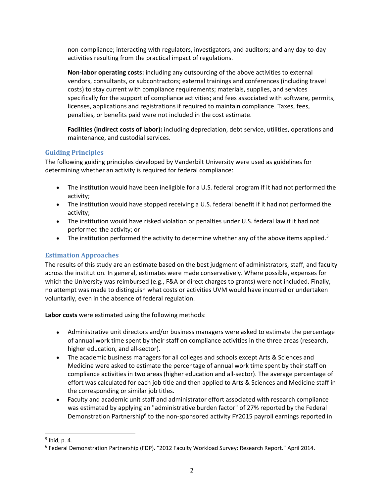non‐compliance; interacting with regulators, investigators, and auditors; and any day‐to‐day activities resulting from the practical impact of regulations.

**Non‐labor operating costs:** including any outsourcing of the above activities to external vendors, consultants, or subcontractors; external trainings and conferences (including travel costs) to stay current with compliance requirements; materials, supplies, and services specifically for the support of compliance activities; and fees associated with software, permits, licenses, applications and registrations if required to maintain compliance. Taxes, fees, penalties, or benefits paid were not included in the cost estimate.

**Facilities (indirect costs of labor):** including depreciation, debt service, utilities, operations and maintenance, and custodial services.

#### **Guiding Principles**

The following guiding principles developed by Vanderbilt University were used as guidelines for determining whether an activity is required for federal compliance:

- The institution would have been ineligible for a U.S. federal program if it had not performed the activity;
- The institution would have stopped receiving a U.S. federal benefit if it had not performed the activity;
- The institution would have risked violation or penalties under U.S. federal law if it had not performed the activity; or
- The institution performed the activity to determine whether any of the above items applied.<sup>5</sup>

### **Estimation Approaches**

The results of this study are an estimate based on the best judgment of administrators, staff, and faculty across the institution. In general, estimates were made conservatively. Where possible, expenses for which the University was reimbursed (e.g., F&A or direct charges to grants) were not included. Finally, no attempt was made to distinguish what costs or activities UVM would have incurred or undertaken voluntarily, even in the absence of federal regulation.

**Labor costs** were estimated using the following methods:

- Administrative unit directors and/or business managers were asked to estimate the percentage of annual work time spent by their staff on compliance activities in the three areas (research, higher education, and all-sector).
- The academic business managers for all colleges and schools except Arts & Sciences and Medicine were asked to estimate the percentage of annual work time spent by their staff on compliance activities in two areas (higher education and all‐sector). The average percentage of effort was calculated for each job title and then applied to Arts & Sciences and Medicine staff in the corresponding or similar job titles.
- Faculty and academic unit staff and administrator effort associated with research compliance was estimated by applying an "administrative burden factor" of 27% reported by the Federal Demonstration Partnership<sup>6</sup> to the non-sponsored activity FY2015 payroll earnings reported in

 $<sup>5</sup>$  Ibid, p. 4.</sup>

<sup>6</sup> Federal Demonstration Partnership (FDP). "2012 Faculty Workload Survey: Research Report." April 2014.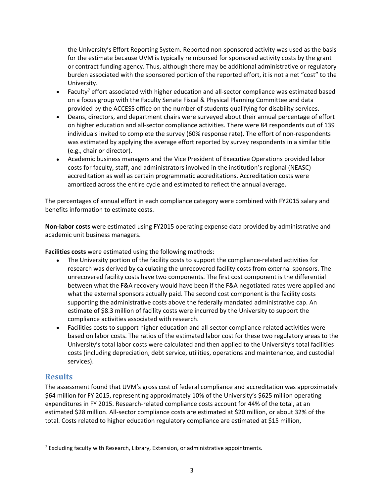the University's Effort Reporting System. Reported non‐sponsored activity was used as the basis for the estimate because UVM is typically reimbursed for sponsored activity costs by the grant or contract funding agency. Thus, although there may be additional administrative or regulatory burden associated with the sponsored portion of the reported effort, it is not a net "cost" to the University.

- Faculty<sup>7</sup> effort associated with higher education and all-sector compliance was estimated based on a focus group with the Faculty Senate Fiscal & Physical Planning Committee and data provided by the ACCESS office on the number of students qualifying for disability services.
- Deans, directors, and department chairs were surveyed about their annual percentage of effort on higher education and all‐sector compliance activities. There were 84 respondents out of 139 individuals invited to complete the survey (60% response rate). The effort of non-respondents was estimated by applying the average effort reported by survey respondents in a similar title (e.g., chair or director).
- Academic business managers and the Vice President of Executive Operations provided labor costs for faculty, staff, and administrators involved in the institution's regional (NEASC) accreditation as well as certain programmatic accreditations. Accreditation costs were amortized across the entire cycle and estimated to reflect the annual average.

The percentages of annual effort in each compliance category were combined with FY2015 salary and benefits information to estimate costs.

**Non‐labor costs** were estimated using FY2015 operating expense data provided by administrative and academic unit business managers.

**Facilities costs** were estimated using the following methods:

- The University portion of the facility costs to support the compliance-related activities for research was derived by calculating the unrecovered facility costs from external sponsors. The unrecovered facility costs have two components. The first cost component is the differential between what the F&A recovery would have been if the F&A negotiated rates were applied and what the external sponsors actually paid. The second cost component is the facility costs supporting the administrative costs above the federally mandated administrative cap. An estimate of \$8.3 million of facility costs were incurred by the University to support the compliance activities associated with research.
- Facilities costs to support higher education and all-sector compliance-related activities were based on labor costs. The ratios of the estimated labor cost for these two regulatory areas to the University's total labor costs were calculated and then applied to the University's total facilities costs (including depreciation, debt service, utilities, operations and maintenance, and custodial services).

## **Results**

The assessment found that UVM's gross cost of federal compliance and accreditation was approximately \$64 million for FY 2015, representing approximately 10% of the University's \$625 million operating expenditures in FY 2015. Research-related compliance costs account for 44% of the total, at an estimated \$28 million. All‐sector compliance costs are estimated at \$20 million, or about 32% of the total. Costs related to higher education regulatory compliance are estimated at \$15 million,

 <sup>7</sup> Excluding faculty with Research, Library, Extension, or administrative appointments.